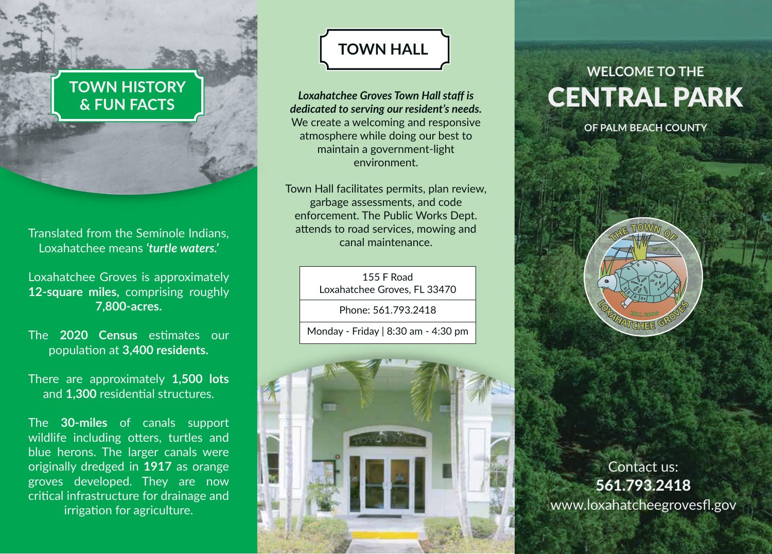### **TOWN HISTORY** & FUN FACTS

Translated from the Seminole Indians, Translated from the Seminole Indians, The Translate of the Canal maintenance. Loxahatchee means *'turtle waters.'*

Loxahatchee Groves is approximately **12-square miles,** comprising roughly **7,800-acres.**

The **2020 Census** estimates our population at **3,400 residents.**

There are approximately **1,500 lots** and **1,300** residential structures.

The **30-miles** of canals support wildlife including otters, turtles and blue herons. The larger canals were originally dredged in **1917** as orange groves developed. They are now critical infrastructure for drainage and irrigation for agriculture.

# **TOWN HALL**

*Loxahatchee Groves Town Hall staff is dedicated to serving our resident's needs.*  We create a welcoming and responsive atmosphere while doing our best to maintain a government-light environment.

Town Hall facilitates permits, plan review, garbage assessments, and code enforcement. The Public Works Dept. attends to road services, mowing and

> 155 F Road Loxahatchee Groves, FL 33470

> > Phone: 561.793.2418

Monday - Friday | 8:30 am - 4:30 pm



# **WELCOME TO THE** CENTRAL PARK

**OF PALM BEACH COUNTY**



Contact us: 561.793.2418 www.loxahatcheegrovesfl.gov